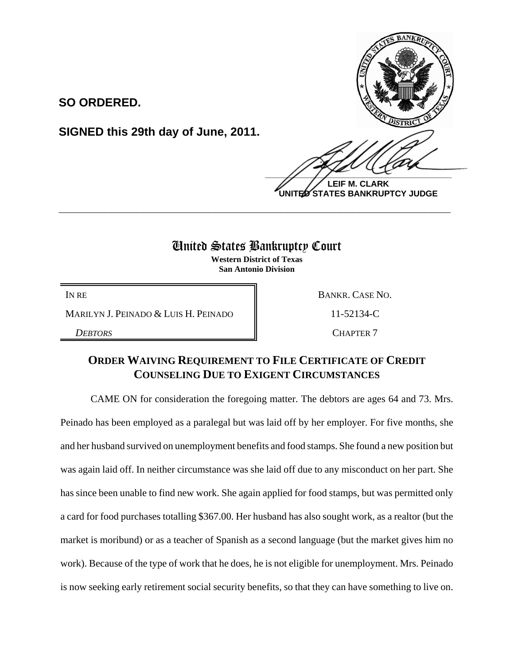**SO ORDERED.**

**SIGNED this 29th day of June, 2011.**

 $\frac{1}{2}$ 

**LEIF M. CLARK UNITED STATES BANKRUPTCY JUDGE**

## United States Bankruptcy Court

**\_\_\_\_\_\_\_\_\_\_\_\_\_\_\_\_\_\_\_\_\_\_\_\_\_\_\_\_\_\_\_\_\_\_\_\_\_\_\_\_\_\_\_\_\_\_\_\_\_\_\_\_\_\_\_\_\_\_\_\_**

**Western District of Texas San Antonio Division**

MARILYN J. PEINADO & LUIS H. PEINADO | 11-52134-C

IN RE BANKR. CASE NO. **DEBTORS** CHAPTER 7

## **ORDER WAIVING REQUIREMENT TO FILE CERTIFICATE OF CREDIT COUNSELING DUE TO EXIGENT CIRCUMSTANCES**

CAME ON for consideration the foregoing matter. The debtors are ages 64 and 73. Mrs. Peinado has been employed as a paralegal but was laid off by her employer. For five months, she and her husband survived on unemployment benefits and food stamps. She found a new position but was again laid off. In neither circumstance was she laid off due to any misconduct on her part. She has since been unable to find new work. She again applied for food stamps, but was permitted only a card for food purchases totalling \$367.00. Her husband has also sought work, as a realtor (but the market is moribund) or as a teacher of Spanish as a second language (but the market gives him no work). Because of the type of work that he does, he is not eligible for unemployment. Mrs. Peinado is now seeking early retirement social security benefits, so that they can have something to live on.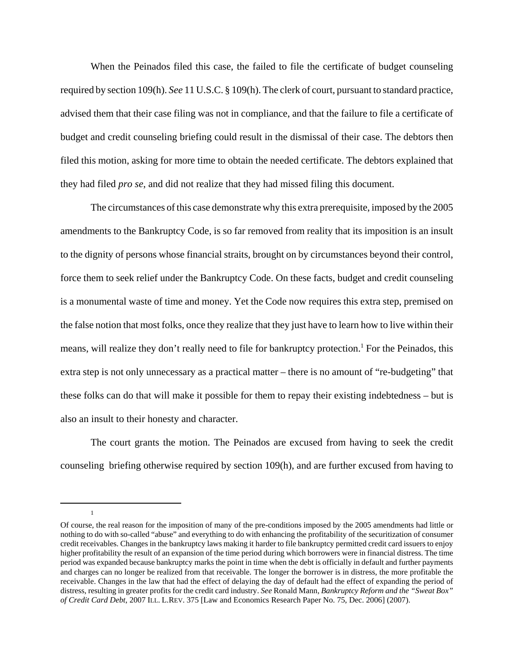When the Peinados filed this case, the failed to file the certificate of budget counseling required by section 109(h). *See* 11 U.S.C. § 109(h). The clerk of court, pursuant to standard practice, advised them that their case filing was not in compliance, and that the failure to file a certificate of budget and credit counseling briefing could result in the dismissal of their case. The debtors then filed this motion, asking for more time to obtain the needed certificate. The debtors explained that they had filed *pro se*, and did not realize that they had missed filing this document.

The circumstances of this case demonstrate why this extra prerequisite, imposed by the 2005 amendments to the Bankruptcy Code, is so far removed from reality that its imposition is an insult to the dignity of persons whose financial straits, brought on by circumstances beyond their control, force them to seek relief under the Bankruptcy Code. On these facts, budget and credit counseling is a monumental waste of time and money. Yet the Code now requires this extra step, premised on the false notion that most folks, once they realize that they just have to learn how to live within their means, will realize they don't really need to file for bankruptcy protection.<sup>1</sup> For the Peinados, this extra step is not only unnecessary as a practical matter – there is no amount of "re-budgeting" that these folks can do that will make it possible for them to repay their existing indebtedness – but is also an insult to their honesty and character.

The court grants the motion. The Peinados are excused from having to seek the credit counseling briefing otherwise required by section 109(h), and are further excused from having to

1

Of course, the real reason for the imposition of many of the pre-conditions imposed by the 2005 amendments had little or nothing to do with so-called "abuse" and everything to do with enhancing the profitability of the securitization of consumer credit receivables. Changes in the bankruptcy laws making it harder to file bankruptcy permitted credit card issuers to enjoy higher profitability the result of an expansion of the time period during which borrowers were in financial distress. The time period was expanded because bankruptcy marks the point in time when the debt is officially in default and further payments and charges can no longer be realized from that receivable. The longer the borrower is in distress, the more profitable the receivable. Changes in the law that had the effect of delaying the day of default had the effect of expanding the period of distress, resulting in greater profits for the credit card industry. *See* Ronald Mann, *Bankruptcy Reform and the "Sweat Box" of Credit Card Debt*, 2007 ILL. L.REV. 375 [Law and Economics Research Paper No. 75, Dec. 2006] (2007).